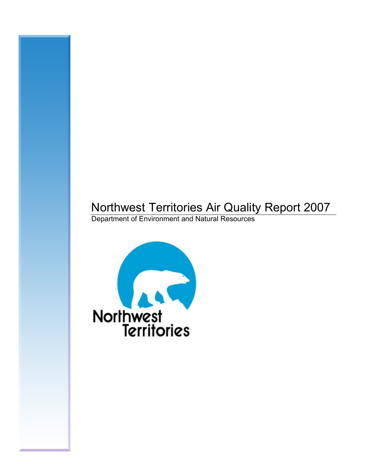# Northwest Territories Air Quality Report 2007

Department of Environment and Natural Resources

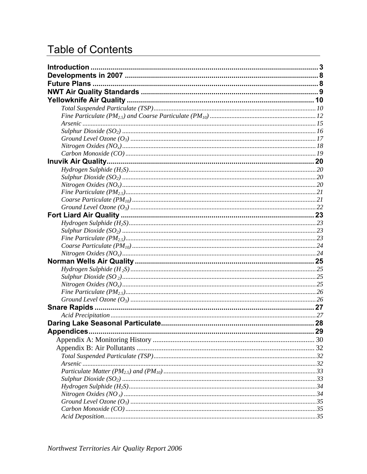# **Table of Contents**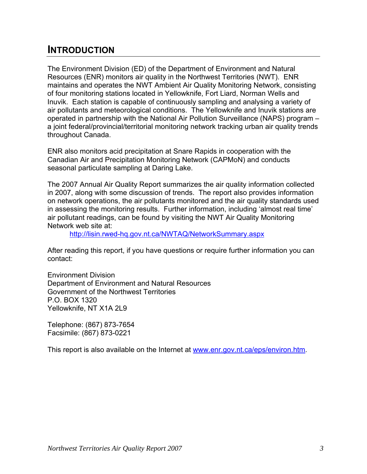# <span id="page-2-0"></span>**INTRODUCTION**

The Environment Division (ED) of the Department of Environment and Natural Resources (ENR) monitors air quality in the Northwest Territories (NWT). ENR maintains and operates the NWT Ambient Air Quality Monitoring Network, consisting of four monitoring stations located in Yellowknife, Fort Liard, Norman Wells and Inuvik. Each station is capable of continuously sampling and analysing a variety of air pollutants and meteorological conditions. The Yellowknife and Inuvik stations are operated in partnership with the National Air Pollution Surveillance (NAPS) program – a joint federal/provincial/territorial monitoring network tracking urban air quality trends throughout Canada.

ENR also monitors acid precipitation at Snare Rapids in cooperation with the Canadian Air and Precipitation Monitoring Network (CAPMoN) and conducts seasonal particulate sampling at Daring Lake.

The 2007 Annual Air Quality Report summarizes the air quality information collected in 2007, along with some discussion of trends. The report also provides information on network operations, the air pollutants monitored and the air quality standards used in assessing the monitoring results. Further information, including 'almost real time' air pollutant readings, can be found by visiting the NWT Air Quality Monitoring Network web site at:

<http://lisin.rwed-hq.gov.nt.ca/NWTAQ/NetworkSummary.aspx>

After reading this report, if you have questions or require further information you can contact:

Environment Division Department of Environment and Natural Resources Government of the Northwest Territories P.O. BOX 1320 Yellowknife, NT X1A 2L9

Telephone: (867) 873-7654 Facsimile: (867) 873-0221

This report is also available on the Internet at [www.enr.gov.nt.ca/eps/environ.htm](http://www.enr.gov.nt.ca/eps/environ.htm).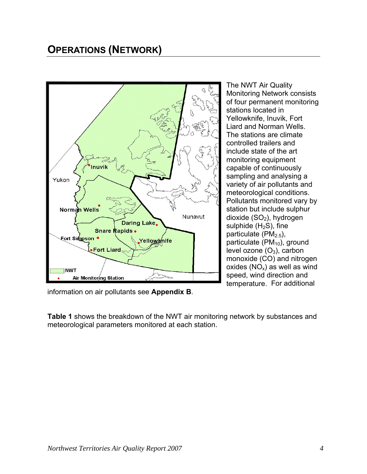# **OPERATIONS (NETWORK)**



The NWT Air Quality Monitoring Network consists of four permanent monitoring stations located in Yellowknife, Inuvik, Fort Liard and Norman Wells. The stations are climate controlled trailers and include state of the art monitoring equipment capable of continuously sampling and analysing a variety of air pollutants and meteorological conditions. Pollutants monitored vary by station but include sulphur dioxide  $(SO<sub>2</sub>)$ , hydrogen sulphide  $(H<sub>2</sub>S)$ , fine particulate ( $PM<sub>2.5</sub>$ ), particulate  $(PM_{10})$ , ground level ozone  $(O_3)$ , carbon monoxide (CO) and nitrogen oxides  $(NO_x)$  as well as wind speed, wind direction and temperature. For additional

information on air pollutants see **Appendix B**.

**Table 1** shows the breakdown of the NWT air monitoring network by substances and meteorological parameters monitored at each station.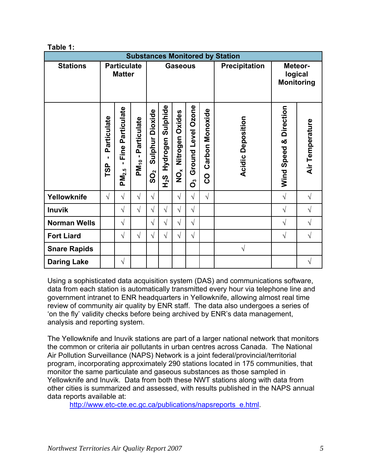**Table 1:** 

| <b>Substances Monitored by Station</b> |                                     |                                                |                                      |                          |                                    |                                         |                          |                                    |                                         |                        |                 |
|----------------------------------------|-------------------------------------|------------------------------------------------|--------------------------------------|--------------------------|------------------------------------|-----------------------------------------|--------------------------|------------------------------------|-----------------------------------------|------------------------|-----------------|
| <b>Stations</b>                        | <b>Particulate</b><br><b>Matter</b> |                                                | <b>Gaseous</b>                       |                          |                                    |                                         |                          | <b>Precipitation</b>               | Meteor-<br>logical<br><b>Monitoring</b> |                        |                 |
|                                        |                                     |                                                |                                      |                          |                                    |                                         |                          |                                    |                                         |                        |                 |
|                                        | Particulate<br>п<br><b>TSP</b>      | Particulate<br>Fine<br>п.<br>PM <sub>2.5</sub> | Particulate<br>٠<br>PM <sub>10</sub> | Dioxide<br>Sulphur<br>တိ | Sulphide<br>Hydrogen<br><b>S^H</b> | Nitrogen Oxides<br>$\check{\mathbf{Q}}$ | Ground Level Ozone<br>රී | <b>Carbon Monoxide</b><br><u>ဝ</u> | Deposition<br>Acidic                    | Wind Speed & Direction | Air Temperature |
| Yellowknife                            | $\sqrt{ }$                          | $\sqrt{}$                                      | $\sqrt{ }$                           | $\sqrt{}$                |                                    | $\sqrt{ }$                              | $\sqrt{}$                | $\sqrt{ }$                         |                                         | $\sqrt{ }$             | V               |
| <b>Inuvik</b>                          |                                     | $\sqrt{ }$                                     | $\sqrt{ }$                           | $\sqrt{}$                | $\sqrt{}$                          | $\sqrt{ }$                              | $\sqrt{}$                |                                    |                                         | $\sqrt{ }$             | $\sqrt{}$       |
| <b>Norman Wells</b>                    |                                     | $\sqrt{}$                                      |                                      | $\sqrt{}$                | $\sqrt{}$                          | $\sqrt{}$                               | $\sqrt{}$                |                                    |                                         | $\sqrt{ }$             | $\sqrt{}$       |
| <b>Fort Liard</b>                      |                                     | $\sqrt{ }$                                     | $\sqrt{}$                            | $\sqrt{}$                | $\sqrt{}$                          | $\sqrt{ }$                              | $\sqrt{}$                |                                    |                                         | $\sqrt{ }$             | $\sqrt{2}$      |
| <b>Snare Rapids</b>                    |                                     |                                                |                                      |                          |                                    |                                         |                          |                                    | $\sqrt{}$                               |                        |                 |
| <b>Daring Lake</b>                     |                                     | $\sqrt{}$                                      |                                      |                          |                                    |                                         |                          |                                    |                                         |                        | V               |

Using a sophisticated data acquisition system (DAS) and communications software, data from each station is automatically transmitted every hour via telephone line and government intranet to ENR headquarters in Yellowknife, allowing almost real time review of community air quality by ENR staff. The data also undergoes a series of 'on the fly' validity checks before being archived by ENR's data management, analysis and reporting system.

The Yellowknife and Inuvik stations are part of a larger national network that monitors the common or criteria air pollutants in urban centres across Canada. The National Air Pollution Surveillance (NAPS) Network is a joint federal/provincial/territorial program, incorporating approximately 290 stations located in 175 communities, that monitor the same particulate and gaseous substances as those sampled in Yellowknife and Inuvik. Data from both these NWT stations along with data from other cities is summarized and assessed, with results published in the NAPS annual data reports available at:

[http://www.etc-cte.ec.gc.ca/publications/napsreports\\_e.html](http://www.etc-cte.ec.gc.ca/publications/napsreports_e.html).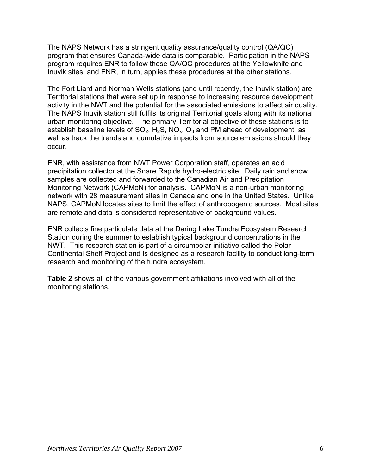The NAPS Network has a stringent quality assurance/quality control (QA/QC) program that ensures Canada-wide data is comparable. Participation in the NAPS program requires ENR to follow these QA/QC procedures at the Yellowknife and Inuvik sites, and ENR, in turn, applies these procedures at the other stations.

The Fort Liard and Norman Wells stations (and until recently, the Inuvik station) are Territorial stations that were set up in response to increasing resource development activity in the NWT and the potential for the associated emissions to affect air quality. The NAPS Inuvik station still fulfils its original Territorial goals along with its national urban monitoring objective. The primary Territorial objective of these stations is to establish baseline levels of  $SO_2$ , H<sub>2</sub>S, NO<sub>x</sub>, O<sub>3</sub> and PM ahead of development, as well as track the trends and cumulative impacts from source emissions should they occur.

ENR, with assistance from NWT Power Corporation staff, operates an acid precipitation collector at the Snare Rapids hydro-electric site. Daily rain and snow samples are collected and forwarded to the Canadian Air and Precipitation Monitoring Network (CAPMoN) for analysis. CAPMoN is a non-urban monitoring network with 28 measurement sites in Canada and one in the United States. Unlike NAPS, CAPMoN locates sites to limit the effect of anthropogenic sources. Most sites are remote and data is considered representative of background values.

ENR collects fine particulate data at the Daring Lake Tundra Ecosystem Research Station during the summer to establish typical background concentrations in the NWT. This research station is part of a circumpolar initiative called the Polar Continental Shelf Project and is designed as a research facility to conduct long-term research and monitoring of the tundra ecosystem.

**Table 2** shows all of the various government affiliations involved with all of the monitoring stations.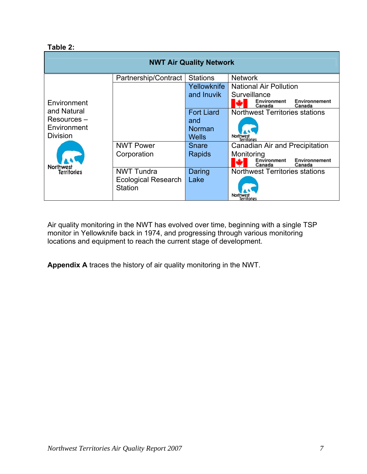#### **Table 2:**

| <b>NWT Air Quality Network</b> |                                              |                        |                                                                  |  |  |
|--------------------------------|----------------------------------------------|------------------------|------------------------------------------------------------------|--|--|
|                                | Partnership/Contract                         | <b>Stations</b>        | <b>Network</b>                                                   |  |  |
| Environment                    |                                              | Yellowknife            | <b>National Air Pollution</b>                                    |  |  |
|                                |                                              | and Inuvik             | Surveillance<br>Environnement<br>Environment<br>Canada<br>Canada |  |  |
| and Natural                    |                                              | <b>Fort Liard</b>      | <b>Northwest Territories stations</b>                            |  |  |
| Resources –                    |                                              | and                    |                                                                  |  |  |
| Environment<br><b>Division</b> |                                              | Norman<br><b>Wells</b> | Northwest<br>Territories                                         |  |  |
|                                | <b>NWT Power</b>                             | Snare                  | Canadian Air and Precipitation                                   |  |  |
|                                | Corporation                                  | <b>Rapids</b>          | Monitoring                                                       |  |  |
| <b>Northwest</b>               |                                              |                        | Environment<br>Environnement<br>Canada<br>Canada                 |  |  |
| Territories                    | <b>NWT Tundra</b>                            | Daring                 | <b>Northwest Territories stations</b>                            |  |  |
|                                | <b>Ecological Research</b><br><b>Station</b> | Lake                   | Territories                                                      |  |  |

Air quality monitoring in the NWT has evolved over time, beginning with a single TSP monitor in Yellowknife back in 1974, and progressing through various monitoring locations and equipment to reach the current stage of development.

**Appendix A** traces the history of air quality monitoring in the NWT.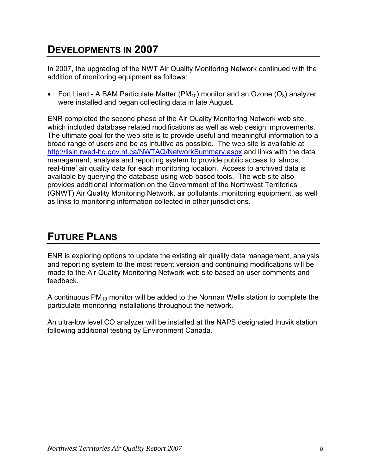# <span id="page-7-0"></span>**DEVELOPMENTS IN 2007**

In 2007, the upgrading of the NWT Air Quality Monitoring Network continued with the addition of monitoring equipment as follows:

• Fort Liard - A BAM Particulate Matter (PM<sub>10</sub>) monitor and an Ozone (O<sub>3</sub>) analyzer were installed and began collecting data in late August.

ENR completed the second phase of the Air Quality Monitoring Network web site, which included database related modifications as well as web design improvements. The ultimate goal for the web site is to provide useful and meaningful information to a broad range of users and be as intuitive as possible. The web site is available at <http://lisin.rwed-hq.gov.nt.ca/NWTAQ/NetworkSummary.aspx>and links with the data management, analysis and reporting system to provide public access to 'almost real-time' air quality data for each monitoring location. Access to archived data is available by querying the database using web-based tools. The web site also provides additional information on the Government of the Northwest Territories (GNWT) Air Quality Monitoring Network, air pollutants, monitoring equipment, as well as links to monitoring information collected in other jurisdictions.

# **FUTURE PLANS**

ENR is exploring options to update the existing air quality data management, analysis and reporting system to the most recent version and continuing modifications will be made to the Air Quality Monitoring Network web site based on user comments and feedback.

A continuous  $PM_{10}$  monitor will be added to the Norman Wells station to complete the particulate monitoring installations throughout the network.

An ultra-low level CO analyzer will be installed at the NAPS designated Inuvik station following additional testing by Environment Canada.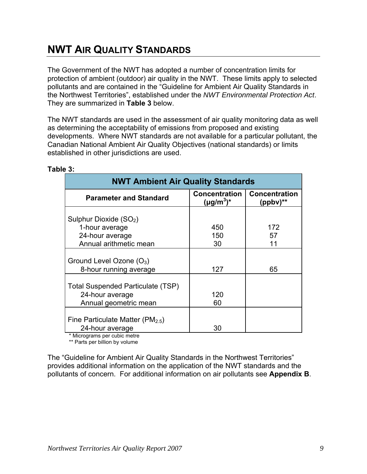# <span id="page-8-0"></span>**NWT AIR QUALITY STANDARDS**

The Government of the NWT has adopted a number of concentration limits for protection of ambient (outdoor) air quality in the NWT. These limits apply to selected pollutants and are contained in the "Guideline for Ambient Air Quality Standards in the Northwest Territories", established under the *NWT Environmental Protection Act*. They are summarized in **Table 3** below.

The NWT standards are used in the assessment of air quality monitoring data as well as determining the acceptability of emissions from proposed and existing developments. Where NWT standards are not available for a particular pollutant, the Canadian National Ambient Air Quality Objectives (national standards) or limits established in other jurisdictions are used.

| <b>NWT Ambient Air Quality Standards</b> |                                         |                                       |  |  |
|------------------------------------------|-----------------------------------------|---------------------------------------|--|--|
| <b>Parameter and Standard</b>            | <b>Concentration</b><br>$(\mu g/m^3)^*$ | <b>Concentration</b><br>$(ppbv)^{**}$ |  |  |
| Sulphur Dioxide (SO <sub>2</sub> )       |                                         |                                       |  |  |
| 1-hour average                           | 450                                     | 172                                   |  |  |
| 24-hour average                          | 150                                     | 57                                    |  |  |
| Annual arithmetic mean                   | 30                                      | 11                                    |  |  |
|                                          |                                         |                                       |  |  |
| Ground Level Ozone $(O_3)$               |                                         |                                       |  |  |
| 8-hour running average                   | 127                                     | 65                                    |  |  |
| <b>Total Suspended Particulate (TSP)</b> |                                         |                                       |  |  |
| 24-hour average                          | 120                                     |                                       |  |  |
| Annual geometric mean                    | 60                                      |                                       |  |  |
|                                          |                                         |                                       |  |  |
| Fine Particulate Matter ( $PM_{2.5}$ )   |                                         |                                       |  |  |
| 24-hour average                          | 30                                      |                                       |  |  |

#### **Table 3:**

\* Micrograms per cubic metre

\*\* Parts per billion by volume

The "Guideline for Ambient Air Quality Standards in the Northwest Territories" provides additional information on the application of the NWT standards and the pollutants of concern. For additional information on air pollutants see **Appendix B**.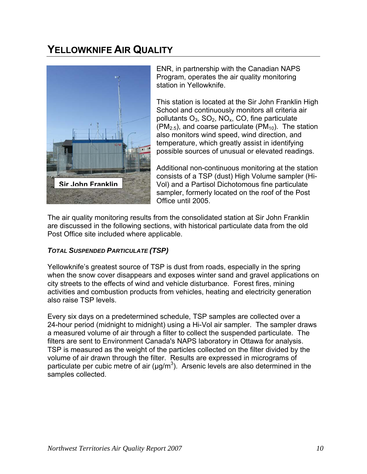# <span id="page-9-0"></span>**YELLOWKNIFE AIR QUALITY**



ENR, in partnership with the Canadian NAPS Program, operates the air quality monitoring station in Yellowknife.

This station is located at the Sir John Franklin High School and continuously monitors all criteria air pollutants  $O_3$ ,  $SO_2$ , NO<sub>x</sub>, CO, fine particulate  $(PM_{2.5})$ , and coarse particulate (PM<sub>10</sub>). The station also monitors wind speed, wind direction, and temperature, which greatly assist in identifying possible sources of unusual or elevated readings.

Additional non-continuous monitoring at the station consists of a TSP (dust) High Volume sampler (Hi-Vol) and a Partisol Dichotomous fine particulate sampler, formerly located on the roof of the Post Office until 2005.

The air quality monitoring results from the consolidated station at Sir John Franklin are discussed in the following sections, with historical particulate data from the old Post Office site included where applicable.

## *TOTAL SUSPENDED PARTICULATE (TSP)*

Yellowknife's greatest source of TSP is dust from roads, especially in the spring when the snow cover disappears and exposes winter sand and gravel applications on city streets to the effects of wind and vehicle disturbance. Forest fires, mining activities and combustion products from vehicles, heating and electricity generation also raise TSP levels.

Every six days on a predetermined schedule, TSP samples are collected over a 24-hour period (midnight to midnight) using a Hi-Vol air sampler. The sampler draws a measured volume of air through a filter to collect the suspended particulate. The filters are sent to Environment Canada's NAPS laboratory in Ottawa for analysis. TSP is measured as the weight of the particles collected on the filter divided by the volume of air drawn through the filter. Results are expressed in micrograms of particulate per cubic metre of air ( $\mu$ g/m<sup>3</sup>). Arsenic levels are also determined in the samples collected.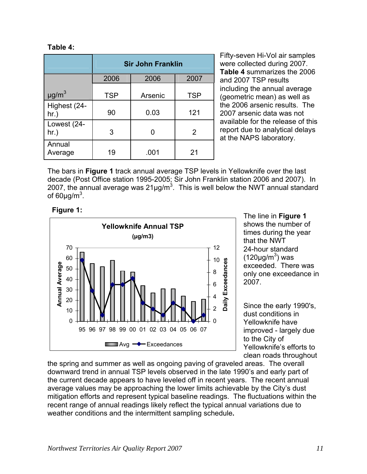#### **Table 4:**

|                         | <b>Sir John Franklin</b> |         |            |  |
|-------------------------|--------------------------|---------|------------|--|
|                         | 2006                     | 2006    | 2007       |  |
| $\mu$ g/m <sup>3</sup>  | <b>TSP</b>               | Arsenic | <b>TSP</b> |  |
| Highest (24-<br>$hr.$ ) | 90                       | 0.03    | 121        |  |
| Lowest (24-<br>hr.)     | 3                        | 0       | 2          |  |
| Annual<br>Average       | 19                       | .001    | 21         |  |

Fifty-seven Hi-Vol air samples were collected during 2007. **Table 4** summarizes the 2006 and 2007 TSP results including the annual average (geometric mean) as well as the 2006 arsenic results. The 2007 arsenic data was not available for the release of this report due to analytical delays at the NAPS laboratory.

The bars in **Figure 1** track annual average TSP levels in Yellowknife over the last decade (Post Office station 1995-2005; Sir John Franklin station 2006 and 2007). In 2007, the annual average was 21µg/m<sup>3</sup>. This is well below the NWT annual standard of 60μg/m $^3$ .



shows the number of times during the year that the NWT 24-hour standard  $(120 \mu g/m^3)$  was exceeded. There was only one exceedance i n 2007.

Since the early 1990's, dust conditions in Yellowknife have improved - largely due to the City of Yellowknife's efforts to clean roads throughout

the spring and summer as well as ongoing paving of graveled areas. The overall downward trend in annual TSP levels observed in the late 1990's and early part of the current decade appears to have leveled off in recent years. The recent annual average values may be approaching the lower limits achievable by the City's dust mitigation efforts and represent typical baseline readings. The fluctuations within the recent range of annual readings likely reflect the typical annual variations due to weather conditions and the intermittent sampling schedule**.**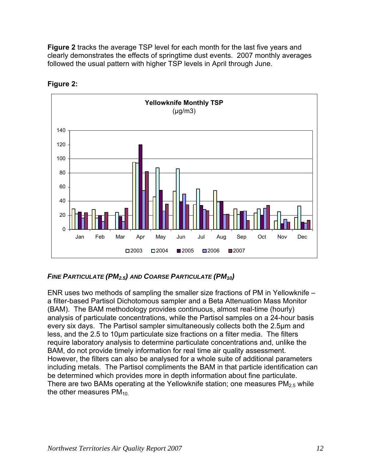<span id="page-11-0"></span>**Figure 2** tracks the average TSP level for each month for the last five years and clearly demonstrates the effects of springtime dust events. 2007 monthly averages followed the usual pattern with higher TSP levels in April through June.



**Figure 2:** 

## *FINE PARTICULATE (PM2.5) AND COARSE PARTICULATE (PM10)*

ENR uses two methods of sampling the smaller size fractions of PM in Yellowknife – a filter-based Partisol Dichotomous sampler and a Beta Attenuation Mass Monitor (BAM). The BAM methodology provides continuous, almost real-time (hourly) analysis of particulate concentrations, while the Partisol samples on a 24-hour basis every six days. The Partisol sampler simultaneously collects both the 2.5µm and less, and the 2.5 to 10µm particulate size fractions on a filter media. The filters require laboratory analysis to determine particulate concentrations and, unlike the BAM, do not provide timely information for real time air quality assessment. However, the filters can also be analysed for a whole suite of additional parameters including metals. The Partisol compliments the BAM in that particle identification can be determined which provides more in depth information about fine particulate. There are two BAMs operating at the Yellowknife station; one measures  $PM<sub>2.5</sub>$  while the other measures  $PM<sub>10</sub>$ .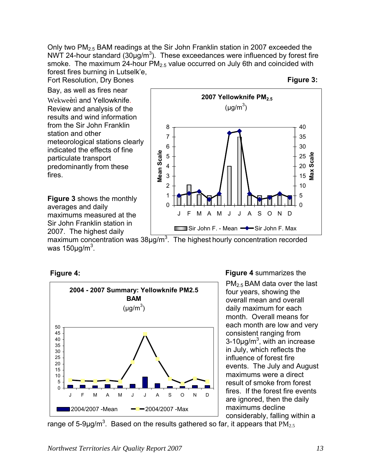Only two PM2.5 BAM readings at the Sir John Franklin station in 2007 exceeded the NWT 24-hour standard (30 $\mu$ g/m<sup>3</sup>). These exceedances were influenced by forest fire smoke. The maximum 24-hour  $PM<sub>2.5</sub>$  value occurred on July 6th and coincided with forest fires burning in Lutselk'e,

Fort Resolution, Dry Bones

Bay, as well as fires near Wekweètì and Yellowknife. Review and analysis of the results and wind information from the Sir John Franklin station and other meteorological stations clearly indicated the effects of fine particulate transport predominantly from these fires.

**Figure 3** shows the monthly averages and daily maximums measured at the Sir John Franklin station in 2007. The highest daily



maximum concentration was  $38\mu g/m^3$ . The highest hourly concentration recorded was 150 $\mu$ g/m $^3$ .





**Figure 4** summarizes the

PM2.5 BAM data over the last four years, showing the overall mean and overall daily maximum for each month. Overall means for each month are low and very consistent ranging from  $3-10\mu g/m^3$ , with an increase in July, which reflects the influence of forest fire events. The July and August maximums were a direct result of smoke from forest fires. If the forest fire events are ignored, then the daily maximums decline considerably, falling within a

range of 5-9µg/m<sup>3</sup>. Based on the results gathered so far, it appears that  $\mathrm{PM_{2.5}}$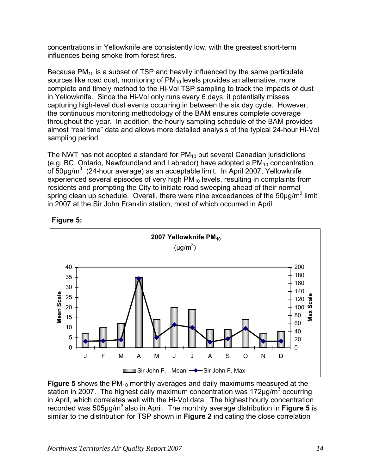concentrations in Yellowknife are consistently low, with the greatest short-term influences being smoke from forest fires.

Because  $PM_{10}$  is a subset of TSP and heavily influenced by the same particulate complete and timely method to the Hi-Vol TSP sampling to track the impacts of dust capturing high-level dust events occurring in between the six day cycle. However, throughout the year. In addition, the hourly sampling schedule of the BAM provides almost "real time" data and allows more detailed analysis of the typical 24-hour Hi-Vol sources like road dust, monitoring of  $PM_{10}$  levels provides an alternative, more in Yellowknife. Since the Hi-Vol only runs every 6 days, it potentially misses the continuous monitoring methodology of the BAM ensures complete coverage sampling period.

The NWT has not adopted a standard for  $PM_{10}$  but several Canadian jurisdictions (e.g. BC, Ontario, Newfoundland and Labrador) have adopted a  $PM<sub>10</sub>$  concentration experienced several episodes of very high PM $_{10}$  levels, resulting in complaints from of 50µg/m<sup>3</sup> (24-hour average) as an acceptable limit. In April 2007, Yellowknife residents and prompting the City to initiate road sweeping ahead of their normal spring clean up schedule. Overall, there were nine exceedances of the 50 $\mu$ g/m<sup>3</sup> limit in 2007 at the Sir John Franklin station, most of which occurred in April.



### **Figure 5:**

**Figure 5** shows the PM<sub>10</sub> monthly averages and daily maximums measured at the station in 2007. The highest daily maximum concentration was 172 $\mu$ g/m<sup>3</sup> occurring in April, which correlates well with the Hi-Vol data. The highest hourly concentration recorded was 505μg/m3 also in April. The monthly average distribution in **Figure 5** is similar to the distribution for TSP shown in **Figure 2** indicating the close correlation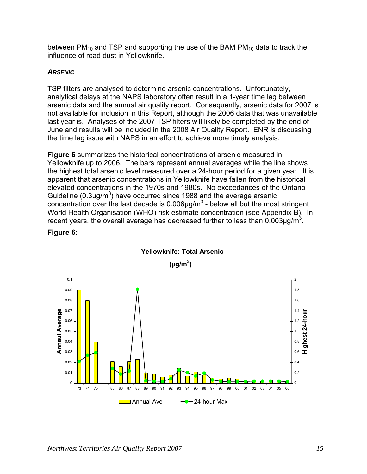<span id="page-14-0"></span>between  $PM_{10}$  and TSP and supporting the use of the BAM  $PM_{10}$  data to track the influence of road dust in Yellowknife.

### *ARSENIC*

TSP filters are analysed to determine arsenic concentrations. Unfortunately, analytical delays at the NAPS laboratory often result in a 1-year time lag between arsenic data and the annual air quality report. Consequently, arsenic data for 2007 is not available for inclusion in this Report, although the 2006 data that was unavailable last year is. Analyses of the 2007 TSP filters will likely be completed by the end of June and results will be included in the 2008 Air Quality Report. ENR is discussing the time lag issue with NAPS in an effort to achieve more timely analysis.

**Figure 6** summarizes the historical concentrations of arsenic measured in Yellowknife up to 2006. The bars represent annual averages while the line shows the highest total arsenic level measured over a 24-hour period for a given year. It is apparent that arsenic concentrations in Yellowknife have fallen from the historical elevated concentrations in the 1970s and 1980s. No exceedances of the Ontario Guideline (0.3 $\mu$ g/m<sup>3</sup>) have occurred since 1988 and the average arsenic concentration over the last decade is  $0.006 \mu g/m<sup>3</sup>$  - below all but the most stringent World Health Organisation (WHO) risk estimate concentration (see Appendix B). In recent years, the overall average has decreased further to less than  $0.003 \mu g/m^3$ .



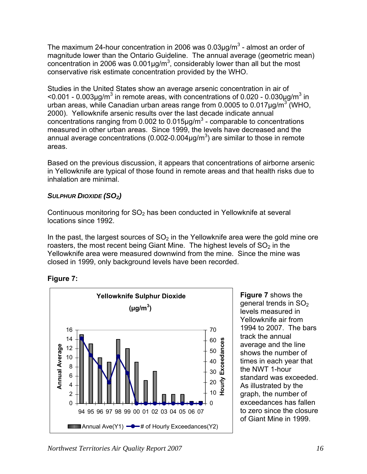<span id="page-15-0"></span>The maximum 24-hour concentration in 2006 was 0.03 $\mu$ g/m<sup>3</sup> - almost an order of magnitude lower than the Ontario Guideline. The annual average (geometric mean) concentration in 2006 was 0.001 $\mu$ g/m<sup>3</sup>, considerably lower than all but the most conservative risk estimate concentration provided by the WHO.

Studies in the United States show an average arsenic concentration in air of  $<$ 0.001 - 0.003µg/m<sup>3</sup> in remote areas, with concentrations of 0.020 - 0.030µg/m<sup>3</sup> in urban areas, while Canadian urban areas range from 0.0005 to 0.017 $\mu$ g/m $3$  (WHO, 2000). Yellowknife arsenic results over the last decade indicate annual concentrations ranging from 0.002 to 0.015 $\mu$ g/m<sup>3</sup> - comparable to concentrations measured in other urban areas. Since 1999, the levels have decreased and the annual average concentrations (0.002-0.004 $\mu$ g/m<sup>3</sup>) are similar to those in remote areas.

Based on the previous discussion, it appears that concentrations of airborne arsenic in Yellowknife are typical of those found in remote areas and that health risks due to inhalation are minimal.

## *SULPHUR DIOXIDE (SO2)*

Continuous monitoring for  $SO<sub>2</sub>$  has been conducted in Yellowknife at several locations since 1992.

In the past, the largest sources of  $SO<sub>2</sub>$  in the Yellowknife area were the gold mine ore roasters, the most recent being Giant Mine. The highest levels of  $SO<sub>2</sub>$  in the Yellowknife area were measured downwind from the mine. Since the mine was closed in 1999, only background levels have been recorded.





**Figure 7** shows the general trends in SO<sub>2</sub> levels measured in Yellowknife air from 1994 to 2007. The bars track the annual average and the line shows the number of times in each year that the NWT 1-hour standard was exceeded. As illustrated by the graph, the number of exceedances has fallen to zero since the closure of Giant Mine in 1999.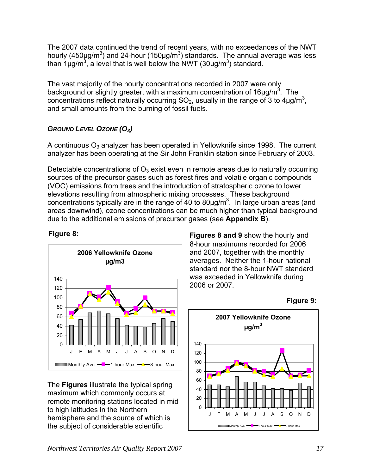<span id="page-16-0"></span>The 2007 data continued the trend of recent years, with no exceedances of the NWT hourly (450µg/m<sup>3</sup>) and 24-hour (150µg/m<sup>3</sup>) standards. The annual average was less than 1μg/m<sup>3</sup>, a level that is well below the NWT (30μg/m<sup>3</sup>) standard.

The vast majority of the hourly concentrations recorded in 2007 were only background or slightly greater, with a maximum concentration of 16 $\mu$ g/m<sup>3</sup>. The concentrations reflect naturally occurring  $SO_2$ , usually in the range of 3 to 4µg/m<sup>3</sup>, and small amounts from the burning of fossil fuels.

## *GROUND LEVEL OZONE (O3)*

A continuous  $O_3$  analyzer has been operated in Yellowknife since 1998. The current analyzer has been operating at the Sir John Franklin station since February of 2003.

Detectable concentrations of  $O_3$  exist even in remote areas due to naturally occurring sources of the precursor gases such as forest fires and volatile organic compounds (VOC) emissions from trees and the introduction of stratospheric ozone to lower elevations resulting from atmospheric mixing processes. These background concentrations typically are in the range of 40 to 80 $\mu$ g/m<sup>3</sup>. In large urban areas (and areas downwind), ozone concentrations can be much higher than typical background due to the additional emissions of precursor gases (see **Appendix B**).



The **Figures** illustrate the typical spring maximum which commonly occurs at remote monitoring stations located in mid to high latitudes in the Northern hemisphere and the source of which is the subject of considerable scientific

**Figure 8: Figures 8 and 9** show the hourly and 8-hour maximums recorded for 2006 and 2007, together with the monthly averages. Neither the 1-hour national standard nor the 8-hour NWT standard was exceeded in Yellowknife during 2006 or 2007.

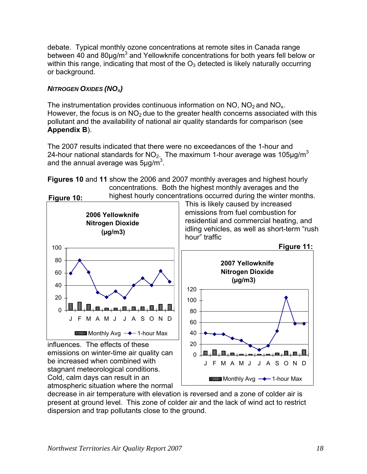<span id="page-17-0"></span>debate. Typical monthly ozone concentrations at remote sites in Canada range between 40 and 80 $\mu$ g/m<sup>3</sup> and Yellowknife concentrations for both years fell below or within this range, indicating that most of the  $O<sub>3</sub>$  detected is likely naturally occurring or background.

## **NITROGEN OXIDES (NO<sub>X</sub>)**

The instrumentation provides continuous information on  $NO$ ,  $NO<sub>2</sub>$  and  $NO<sub>x</sub>$ . However, the focus is on  $NO<sub>2</sub>$  due to the greater health concerns associated with this pollutant and the availability of national air quality standards for comparison (see **Appendix B**).

The 2007 results indicated that there were no exceedances of the 1-hour and 24-hour national standards for  $NO<sub>2</sub>$ . The maximum 1-hour average was 105 $\mu$ g/m<sup>3</sup> and the annual average was  $5 \mu$ g/m<sup>3</sup>.

**Figures 10** and **11** show the 2006 and 2007 monthly averages and highest hourly concentrations. Both the highest monthly averages and the highest hourly concentrations occurred during the winter months.



decrease in air temperature with elevation is reversed and a zone of colder air is present at ground level. This zone of colder air and the lack of wind act to restrict dispersion and trap pollutants close to the ground.

Cold, calm days can result in an

atmospheric situation where the normal

**Monthly Avg**  $\rightarrow$  **1-hour Max**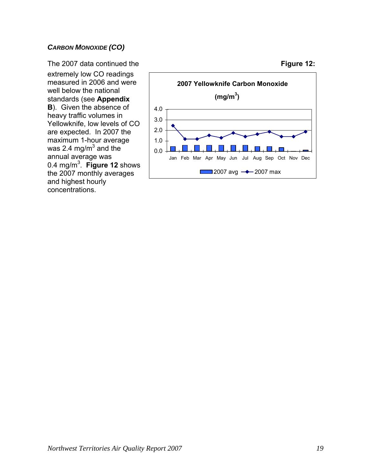#### <span id="page-18-0"></span>*CARBON MONOXIDE (CO)*

The 2007 data continued the extremely low CO readings measured in 2006 and were well below the national standards (see **Appendix B**). Given the absence of heavy traffic volumes in Yellowknife, low levels of CO are expected. In 2007 the maximum 1-hour average was 2.4 mg/m $^3$  and the  $\overline{\phantom{a}}$ annual average was 0.4 mg/m3 . **Figure 12** shows the 2007 monthly averages and highest hourly concentrations.



#### **Figure 12:**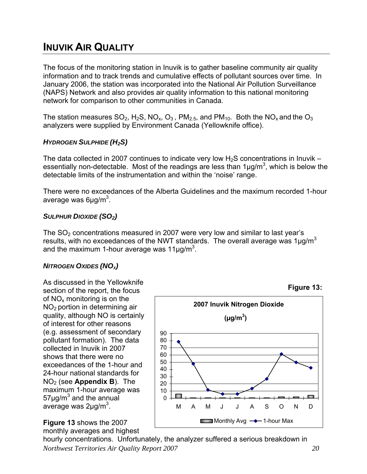# <span id="page-19-0"></span>**INUVIK AIR QUALITY**

The focus of the monitoring station in Inuvik is to gather baseline community air quality information and to track trends and cumulative effects of pollutant sources over time. In January 2006, the station was incorporated into the National Air Pollution Surveillance (NAPS) Network and also provides air quality information to this national monitoring network for comparison to other communities in Canada.

The station measures  $SO_2$ , H<sub>2</sub>S, NO<sub>x</sub>, O<sub>3</sub>, PM<sub>2.5</sub>, and PM<sub>10</sub>. Both the NO<sub>x</sub> and the O<sub>3</sub> analyzers were supplied by Environment Canada (Yellowknife office).

#### *HYDROGEN SULPHIDE (H2S)*

The data collected in 2007 continues to indicate very low  $H_2S$  concentrations in Inuvik – essentially non-detectable. Most of the readings are less than  $1\mu g/m^3$ , which is below the detectable limits of the instrumentation and within the 'noise' range.

There were no exceedances of the Alberta Guidelines and the maximum recorded 1-hour average was 6μg/m<sup>3</sup>.

#### *SULPHUR DIOXIDE (SO2)*

The  $SO<sub>2</sub>$  concentrations measured in 2007 were very low and similar to last year's results, with no exceedances of the NWT standards. The overall average was  $1\mu$ g/m<sup>3</sup> and the maximum 1-hour average was 11 $\mu$ g/m<sup>3</sup>.

#### **NITROGEN OXIDES (NO<sub>X</sub>)**

As discussed in the Yellowknife section of the report, the focus of  $NO<sub>x</sub>$  monitoring is on the NO<sub>2</sub> portion in determining air quality, although NO is certainly of interest for other reasons (e.g. assessment of secondary pollutant formation). The data collected in Inuvik in 2007 shows that there were no exceedances of the 1-hour and 24-hour national standards for NO2 (see **Appendix B**). The maximum 1-hour average was  $57$ µg/m<sup>3</sup> and the annual average was 2µg/m<sup>3</sup>.

#### **Figure 13** shows the 2007 monthly averages and highest

*Northwest Territories Air Quality Report 2007 20* hourly concentrations. Unfortunately, the analyzer suffered a serious breakdown in



**Figure 13:**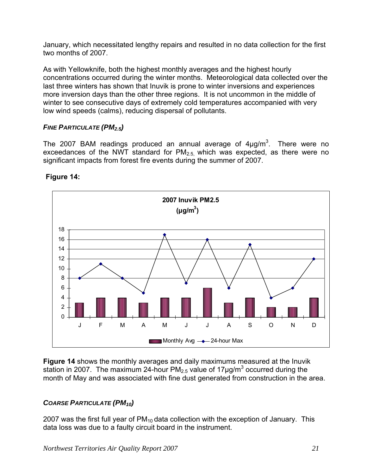<span id="page-20-0"></span>January, which necessitated lengthy repairs and resulted in no data collection for the first two months of 2007.

As with Yellowknife, both the highest monthly averages and the highest hourly concentrations occurred during the winter months. Meteorological data collected over the last three winters has shown that Inuvik is prone to winter inversions and experiences more inversion days than the other three regions. It is not uncommon in the middle of winter to see consecutive days of extremely cold temperatures accompanied with very low wind speeds (calms), reducing dispersal of pollutants.

#### *FINE PARTICULATE (PM2.5)*

The 2007 BAM readings produced an annual average of  $4\mu g/m^3$ . There were no exceedances of the NWT standard for  $PM<sub>2.5</sub>$  which was expected, as there were no significant impacts from forest fire events during the summer of 2007.



## **Figure 14:**

**Figure 14** shows the monthly averages and daily maximums measured at the Inuvik station in 2007. The maximum 24-hour PM<sub>2.5</sub> value of 17 $\mu$ g/m<sup>3</sup> occurred during the month of May and was associated with fine dust generated from construction in the area.

## *COARSE PARTICULATE (PM10)*

2007 was the first full year of  $PM_{10}$  data collection with the exception of January. This data loss was due to a faulty circuit board in the instrument.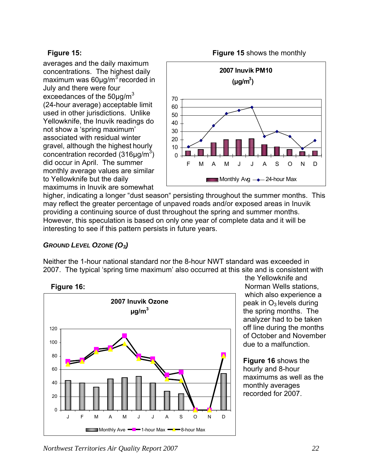### <span id="page-21-0"></span>**Figure 15:**

maximum was 60μg/m<sup>3</sup> recorded in maximums in Inuvik are somewhat averages and the daily maximum concentrations. The highest daily July and there were four exceedances of the 50 $\mu$ g/m<sup>3</sup> (24-hour average) acceptable limit used in other jurisdictions. Unlike Yellowknife, the Inuvik readings do not show a 'spring maximum' associated with residual winter gravel, although the highest hourly concentration recorded (316μg/m<sup>3</sup>) did occur in April. The summer monthly average values are similar to Yellowknife but the daily





higher, indicating a longer "dust season" persisting throughout the summer months. This interesting to see if this pattern persists in future years. may reflect the greater percentage of unpaved roads and/or exposed areas in Inuvik providing a continuing source of dust throughout the spring and summer months. However, this speculation is based on only one year of complete data and it will be

## *GROUND LEVEL OZONE (O3)*

2007. The typical 'spring time maximum' also occurred at this s ite and is consistent with Neither the 1-hour national standard nor the 8-hour NWT standard was exceeded in





of October and November the Yellowknife and Norman Wells stations, which also experience a peak in  $O_3$  levels during the spring months. The analyzer had to be taken off line during the months due to a malfunction.

maximums as well as the recorded for 2007. **Figure 16** shows the hourly and 8-hour monthly averages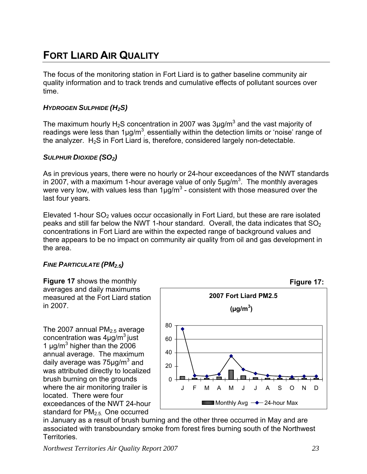# <span id="page-22-0"></span>**FORT LIARD AIR QUALITY**

The focus of the monitoring station in Fort Liard is to gather baseline community air quality information and to track trends and cumulative effects of pollutant sources over time.

### *HYDROGEN SULPHIDE (H2S)*

The maximum hourly H<sub>2</sub>S concentration in 2007 was 3µg/m<sup>3</sup> and the vast majority of readings were less than  $1\mu g/m^3$  essentially within the detection limits or 'noise' range of the analyzer.  $H_2S$  in Fort Liard is, therefore, considered largely non-detectable.

## *SULPHUR DIOXIDE (SO2)*

As in previous years, there were no hourly or 24-hour exceedances of the NWT standards in 2007, with a maximum 1-hour average value of only  $5\mu g/m^3$ . The monthly averages were very low, with values less than  $1\mu g/m^3$  - consistent with those measured over the last four years.

Elevated 1-hour  $SO<sub>2</sub>$  values occur occasionally in Fort Liard, but these are rare isolated peaks and still far below the NWT 1-hour standard. Overall, the data indicates that  $SO<sub>2</sub>$ concentrations in Fort Liard are within the expected range of background values and there appears to be no impact on community air quality from oil and gas development in the area.

## *FINE PARTICULATE (PM2.5)*

**Figure 17** shows the monthly averages and daily maximums measured at the Fort Liard station in 2007.

The 2007 annual  $PM<sub>2.5</sub>$  average concentration was  $4\mu$ g/m<sup>3</sup> just 1  $\mu$ g/m<sup>3</sup> higher than the 2006 annual average. The maximum daily average was 75µg/m<sup>3</sup> and was attributed directly to localized brush burning on the grounds where the air monitoring trailer is located. There were four exceedances of the NWT 24-hour standard for PM2.5.One occurred



in January as a result of brush burning and the other three occurred in May and are associated with transboundary smoke from forest fires burning south of the Northwest Territories.

*Northwest Territories Air Quality Report 2007 23*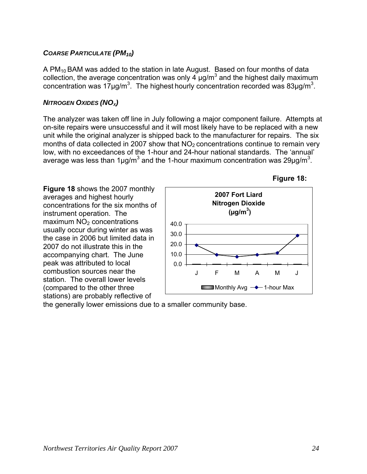#### <span id="page-23-0"></span>*COARSE PARTICULATE (PM10)*

A PM<sub>10</sub> BAM was added to the station in late August. Based on four months of data collection, the average concentration was only 4  $\mu$ g/m<sup>3</sup> and the highest daily maximum concentration was  $17\mu g/m^3$ . The highest hourly concentration recorded was 83 $\mu g/m^3$ .

#### **NITROGEN OXIDES (NO<sub>x</sub>)**

The analyzer was taken off line in July following a major component failure. Attempts at on-site repairs were unsuccessful and it will most likely have to be replaced with a new unit while the original analyzer is shipped back to the manufacturer for repairs. The six months of data collected in 2007 show that  $NO<sub>2</sub>$  concentrations continue to remain very low, with no exceedances of the 1-hour and 24-hour national standards. The 'annual' average was less than 1µg/m<sup>3</sup> and the 1-hour maximum concentration was 29µg/m<sup>3</sup>.

**Figure 18** shows the 2007 monthly averages and highest hourly concentrations for the six months of instrument operation. The  $maximum NO<sub>2</sub> concentrations$ usually occur during winter as was the case in 2006 but limited data in 2007 do not illustrate this in the accompanying chart. The June peak was attributed to local combustion sources near the station. The overall lower levels (compared to the other three stations) are probably reflective of



**Figure 18:**

the generally lower emissions due to a smaller community base.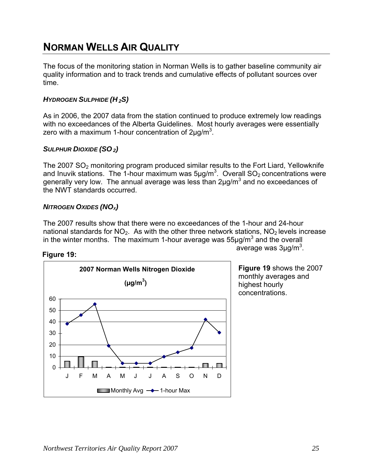# <span id="page-24-0"></span>**NORMAN WELLS AIR QUALITY**

The focus of the monitoring station in Norman Wells is to gather baseline community air quality information and to track trends and cumulative effects of pollutant sources over time.

#### *HYDROGEN SULPHIDE (H 2S)*

As in 2006, the 2007 data from the station continued to produce extremely low readings with no exceedances of the Alberta Guidelines. Most hourly averages were essentially zero with a maximum 1-hour concentration of 2 $\mu$ g/m<sup>3</sup>.

#### **SULPHUR DIOXIDE (SO<sub>2</sub>)**

The 2007  $SO<sub>2</sub>$  monitoring program produced similar results to the Fort Liard, Yellowknife and Inuvik stations. The 1-hour maximum was  $5\mu g/m^3$ . Overall SO<sub>2</sub> concentrations were generally very low. The annual average was less than  $2\mu g/m^3$  and no exceedances of the NWT standards occurred.

#### **NITROGEN OXIDES (NO<sub>x</sub>)**

The 2007 results show that there were no exceedances of the 1-hour and 24-hour national standards for  $NO<sub>2</sub>$ . As with the other three network stations,  $NO<sub>2</sub>$  levels increase in the winter months. The maximum 1-hour average was 55 $\mu$ g/m<sup>3</sup> and the overall average was 3μg/m<sup>3</sup> . **Figure 19:** 



**Figure 19** shows the 2007 monthly averages and highest hourly concentrations.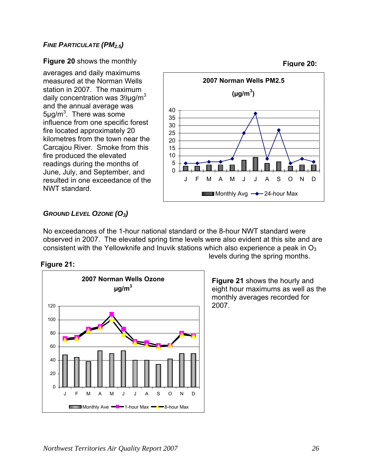#### <span id="page-25-0"></span>**FINE PARTICULATE (PM<sub>2.5</sub>)**

#### **Figure 20: Figure 20** shows the monthly

averages and daily maximums measured at the Norman Wells station in 2007. The maximum daily concentration was  $39\mu q/m^3$ and the annual average was  $5 \mu g/m^3$ . There was some influence from one specific forest fire located approximately 20 kilometres from the town near the Carcajou River. Smoke from this fire produced the elevated readings during the months of June, July, and September, and resulted in one exceedance of the NWT standard.



#### *GROUND LEVEL OZONE (O3)*

No exceedances of the 1-hour national standard or the 8-hour NWT standard were observed in 2007. The elevated spring time levels were also evident at this site and are consistent with the Yellowknife and Inuvik stations which also experience a peak in  $O<sub>3</sub>$ 





levels during the spring months.

**Figure 21** shows the hourly and eight hour maximums as well as the monthly averages recorded for 2007.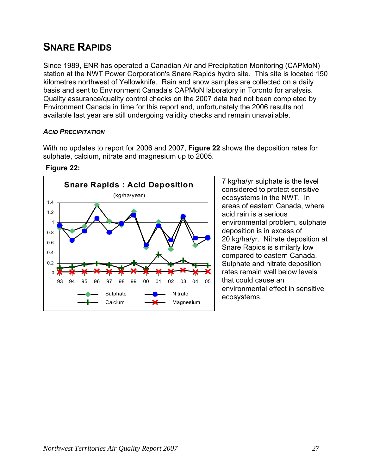# <span id="page-26-0"></span>**SNARE RAPIDS**

Since 1989, ENR has operated a Canadian Air and Precipitation Monitoring (CAPMoN) station at the NWT Power Corporation's Snare Rapids hydro site. This site is located 150 kilometres northwest of Yellowknife. Rain and snow samples are collected on a daily basis and sent to Environment Canada's CAPMoN laboratory in Toronto for analysis. Quality assurance/quality control checks on the 2007 data had not been completed by Environment Canada in time for this report and, unfortunately the 2006 results not available last year are still undergoing validity checks and remain unavailable.

#### *ACID PRECIPITATION*

With no updates to report for 2006 and 2007, **Figure 22** shows the deposition rates for sulphate, calcium, nitrate and magnesium up to 2005.

#### **Figure 22:**



considered to protect sensitive ecosystems in the NWT. In areas of eastern Canada, where acid rain is a serious environmental problem, sulphate deposition is in excess of 20 kg/ha/yr. Nitrate deposition at Snare Rapids is similarly low compared to eastern Canada. Sulphate and nitrate deposition rates remain well below levels that could cause an environmental effect in sensitive ecosystems.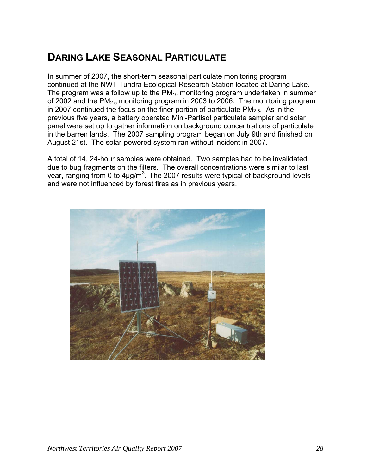# <span id="page-27-0"></span>**DARING LAKE SEASONAL PARTICULATE**

In summer of 2007, the short-term seasonal particulate monitoring program continued at the NWT Tundra Ecological Research Station located at Daring Lake. The program was a follow up to the  $PM_{10}$  monitoring program undertaken in summer of 2002 and the  $PM<sub>2.5</sub>$  monitoring program in 2003 to 2006. The monitoring program in 2007 continued the focus on the finer portion of particulate  $PM<sub>2.5</sub>$ . As in the previous five years, a battery operated Mini-Partisol particulate sampler and solar panel were set up to gather information on background concentrations of particulate in the barren lands. The 2007 sampling program began on July 9th and finished on August 21st. The solar-powered system ran without incident in 2007.

A total of 14, 24-hour samples were obtained. Two samples had to be invalidated due to bug fragments on the filters. The overall concentrations were similar to last year, ranging from 0 to 4 $\mu$ g/m<sup>3</sup>. The 2007 results were typical of background levels and were not influenced by forest fires as in previous years.

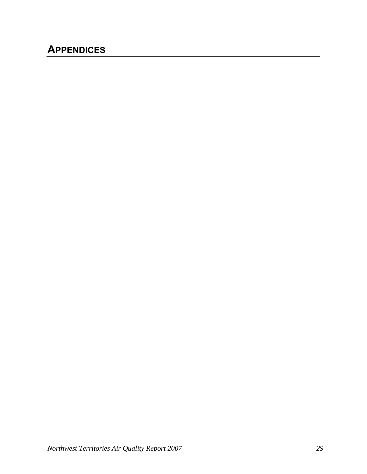# <span id="page-28-0"></span>**APPENDICES**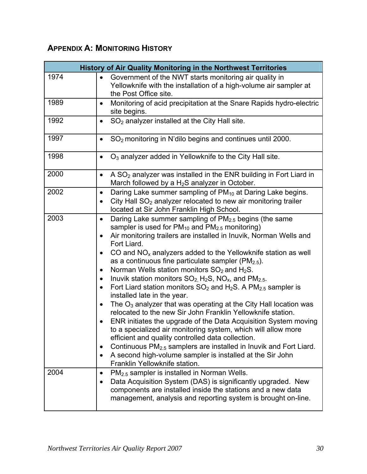# <span id="page-29-0"></span>**APPENDIX A: MONITORING HISTORY**

|      | <b>History of Air Quality Monitoring in the Northwest Territories</b>                                                                                                                                                                                                                                                                                                                                                                                                                                                                                                                                                                                                                                                                                                                                                                                                                                                                                                                                                                                                                                                                                                                                                              |
|------|------------------------------------------------------------------------------------------------------------------------------------------------------------------------------------------------------------------------------------------------------------------------------------------------------------------------------------------------------------------------------------------------------------------------------------------------------------------------------------------------------------------------------------------------------------------------------------------------------------------------------------------------------------------------------------------------------------------------------------------------------------------------------------------------------------------------------------------------------------------------------------------------------------------------------------------------------------------------------------------------------------------------------------------------------------------------------------------------------------------------------------------------------------------------------------------------------------------------------------|
| 1974 | Government of the NWT starts monitoring air quality in<br>$\bullet$<br>Yellowknife with the installation of a high-volume air sampler at<br>the Post Office site.                                                                                                                                                                                                                                                                                                                                                                                                                                                                                                                                                                                                                                                                                                                                                                                                                                                                                                                                                                                                                                                                  |
| 1989 | Monitoring of acid precipitation at the Snare Rapids hydro-electric<br>٠<br>site begins.                                                                                                                                                                                                                                                                                                                                                                                                                                                                                                                                                                                                                                                                                                                                                                                                                                                                                                                                                                                                                                                                                                                                           |
| 1992 | SO <sub>2</sub> analyzer installed at the City Hall site.<br>$\bullet$                                                                                                                                                                                                                                                                                                                                                                                                                                                                                                                                                                                                                                                                                                                                                                                                                                                                                                                                                                                                                                                                                                                                                             |
| 1997 | SO <sub>2</sub> monitoring in N'dilo begins and continues until 2000.<br>$\bullet$                                                                                                                                                                                                                                                                                                                                                                                                                                                                                                                                                                                                                                                                                                                                                                                                                                                                                                                                                                                                                                                                                                                                                 |
| 1998 | $O3$ analyzer added in Yellowknife to the City Hall site.<br>٠                                                                                                                                                                                                                                                                                                                                                                                                                                                                                                                                                                                                                                                                                                                                                                                                                                                                                                                                                                                                                                                                                                                                                                     |
| 2000 | A $SO2$ analyzer was installed in the ENR building in Fort Liard in<br>$\bullet$<br>March followed by a $H_2S$ analyzer in October.                                                                                                                                                                                                                                                                                                                                                                                                                                                                                                                                                                                                                                                                                                                                                                                                                                                                                                                                                                                                                                                                                                |
| 2002 | Daring Lake summer sampling of PM <sub>10</sub> at Daring Lake begins.<br>$\bullet$<br>City Hall $SO2$ analyzer relocated to new air monitoring trailer<br>located at Sir John Franklin High School.                                                                                                                                                                                                                                                                                                                                                                                                                                                                                                                                                                                                                                                                                                                                                                                                                                                                                                                                                                                                                               |
| 2003 | Daring Lake summer sampling of PM <sub>2.5</sub> begins (the same<br>$\bullet$<br>sampler is used for $PM_{10}$ and $PM_{2.5}$ monitoring)<br>Air monitoring trailers are installed in Inuvik, Norman Wells and<br>$\bullet$<br>Fort Liard.<br>CO and $NOx$ analyzers added to the Yellowknife station as well<br>$\bullet$<br>as a continuous fine particulate sampler ( $PM2.5$ ).<br>Norman Wells station monitors $SO_2$ and $H_2S$ .<br>$\bullet$<br>Inuvik station monitors $SO_2$ , H <sub>2</sub> S, NO <sub>x</sub> , and PM <sub>2.5</sub> .<br>٠<br>Fort Liard station monitors $SO_2$ and H <sub>2</sub> S. A PM <sub>2.5</sub> sampler is<br>installed late in the year.<br>The $O_3$ analyzer that was operating at the City Hall location was<br>$\bullet$<br>relocated to the new Sir John Franklin Yellowknife station.<br>ENR initiates the upgrade of the Data Acquisition System moving<br>to a specialized air monitoring system, which will allow more<br>efficient and quality controlled data collection.<br>Continuous PM <sub>2.5</sub> samplers are installed in Inuvik and Fort Liard.<br>٠<br>A second high-volume sampler is installed at the Sir John<br>$\bullet$<br>Franklin Yellowknife station. |
| 2004 | PM <sub>2.5</sub> sampler is installed in Norman Wells.<br>$\bullet$<br>Data Acquisition System (DAS) is significantly upgraded. New<br>$\bullet$<br>components are installed inside the stations and a new data<br>management, analysis and reporting system is brought on-line.                                                                                                                                                                                                                                                                                                                                                                                                                                                                                                                                                                                                                                                                                                                                                                                                                                                                                                                                                  |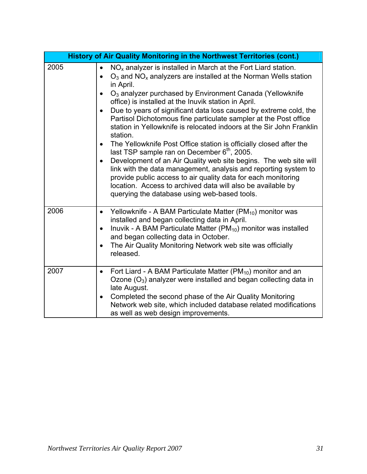|      | History of Air Quality Monitoring in the Northwest Territories (cont.)                                                                                                                                                                                                                                                                                                                                                                                                                                                                                                                                                                                                                                                                                                                                                                                                                                                                                                                                                                              |
|------|-----------------------------------------------------------------------------------------------------------------------------------------------------------------------------------------------------------------------------------------------------------------------------------------------------------------------------------------------------------------------------------------------------------------------------------------------------------------------------------------------------------------------------------------------------------------------------------------------------------------------------------------------------------------------------------------------------------------------------------------------------------------------------------------------------------------------------------------------------------------------------------------------------------------------------------------------------------------------------------------------------------------------------------------------------|
| 2005 | $NOx$ analyzer is installed in March at the Fort Liard station.<br>$\bullet$<br>$O_3$ and NO <sub>x</sub> analyzers are installed at the Norman Wells station<br>$\bullet$<br>in April.<br>O <sub>3</sub> analyzer purchased by Environment Canada (Yellowknife<br>office) is installed at the Inuvik station in April.<br>Due to years of significant data loss caused by extreme cold, the<br>$\bullet$<br>Partisol Dichotomous fine particulate sampler at the Post office<br>station in Yellowknife is relocated indoors at the Sir John Franklin<br>station.<br>The Yellowknife Post Office station is officially closed after the<br>$\bullet$<br>last TSP sample ran on December 6 <sup>th</sup> , 2005.<br>Development of an Air Quality web site begins. The web site will<br>$\bullet$<br>link with the data management, analysis and reporting system to<br>provide public access to air quality data for each monitoring<br>location. Access to archived data will also be available by<br>querying the database using web-based tools. |
| 2006 | Yellowknife - A BAM Particulate Matter (PM <sub>10</sub> ) monitor was<br>$\bullet$<br>installed and began collecting data in April.<br>Inuvik - A BAM Particulate Matter ( $PM_{10}$ ) monitor was installed<br>$\bullet$<br>and began collecting data in October.<br>The Air Quality Monitoring Network web site was officially<br>$\bullet$<br>released.                                                                                                                                                                                                                                                                                                                                                                                                                                                                                                                                                                                                                                                                                         |
| 2007 | Fort Liard - A BAM Particulate Matter ( $PM_{10}$ ) monitor and an<br>$\bullet$<br>Ozone $(O_3)$ analyzer were installed and began collecting data in<br>late August.<br>Completed the second phase of the Air Quality Monitoring<br>$\bullet$<br>Network web site, which included database related modifications<br>as well as web design improvements.                                                                                                                                                                                                                                                                                                                                                                                                                                                                                                                                                                                                                                                                                            |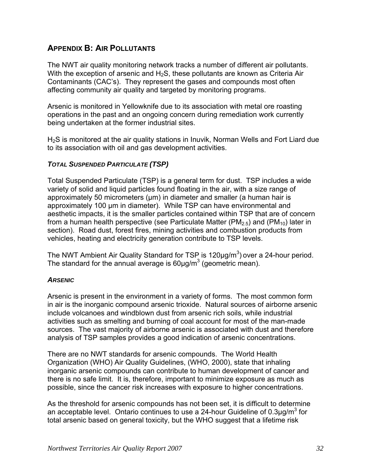## <span id="page-31-0"></span>**APPENDIX B: AIR POLLUTANTS**

The NWT air quality monitoring network tracks a number of different air pollutants. With the exception of arsenic and  $H_2S$ , these pollutants are known as Criteria Air Contaminants (CAC's). They represent the gases and compounds most often affecting community air quality and targeted by monitoring programs.

Arsenic is monitored in Yellowknife due to its association with metal ore roasting operations in the past and an ongoing concern during remediation work currently being undertaken at the former industrial sites.

H<sub>2</sub>S is monitored at the air quality stations in Inuvik, Norman Wells and Fort Liard due to its association with oil and gas development activities.

#### *TOTAL SUSPENDED PARTICULATE (TSP)*

Total Suspended Particulate (TSP) is a general term for dust. TSP includes a wide variety of solid and liquid particles found floating in the air, with a size range of approximately 50 micrometers (um) in diameter and smaller (a human hair is approximately 100 µm in diameter). While TSP can have environmental and aesthetic impacts, it is the smaller particles contained within TSP that are of concern from a human health perspective (see Particulate Matter (PM<sub>2.5</sub>) and (PM<sub>10</sub>) later in section). Road dust, forest fires, mining activities and combustion products from vehicles, heating and electricity generation contribute to TSP levels.

The NWT Ambient Air Quality Standard for TSP is  $120 \mu g/m<sup>3</sup>$ ) over a 24-hour period. The standard for the annual average is  $60 \mu g/m^3$  (geometric mean).

#### *ARSENIC*

Arsenic is present in the environment in a variety of forms. The most common form in air is the inorganic compound arsenic trioxide. Natural sources of airborne arsenic include volcanoes and windblown dust from arsenic rich soils, while industrial activities such as smelting and burning of coal account for most of the man-made sources. The vast majority of airborne arsenic is associated with dust and therefore analysis of TSP samples provides a good indication of arsenic concentrations.

There are no NWT standards for arsenic compounds. The World Health Organization (WHO) Air Quality Guidelines, (WHO, 2000), state that inhaling inorganic arsenic compounds can contribute to human development of cancer and there is no safe limit. It is, therefore, important to minimize exposure as much as possible, since the cancer risk increases with exposure to higher concentrations.

As the threshold for arsenic compounds has not been set, it is difficult to determine an acceptable level. Ontario continues to use a 24-hour Guideline of 0.3 $\mu$ g/m<sup>3</sup> for total arsenic based on general toxicity, but the WHO suggest that a lifetime risk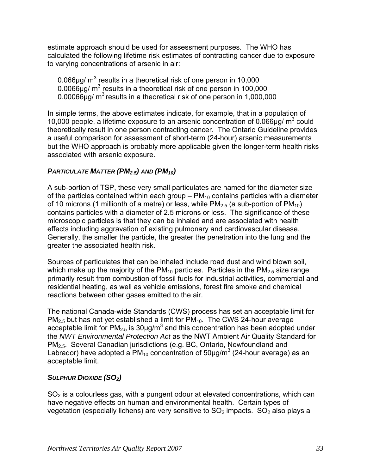<span id="page-32-0"></span>estimate approach should be used for assessment purposes. The WHO has calculated the following lifetime risk estimates of contracting cancer due to exposure to varying concentrations of arsenic in air:

0.066 $\mu$ g/ m<sup>3</sup> results in a theoretical risk of one person in 10,000  $0.0066\mu$ g/ m<sup>3</sup> results in a theoretical risk of one person in 100,000 0.00066 $\mu$ g/ m<sup>3</sup> results in a theoretical risk of one person in 1,000,000

In simple terms, the above estimates indicate, for example, that in a population of 10,000 people, a lifetime exposure to an arsenic concentration of  $0.066\mu$ g/m<sup>3</sup> could theoretically result in one person contracting cancer. The Ontario Guideline provides a useful comparison for assessment of short-term (24-hour) arsenic measurements but the WHO approach is probably more applicable given the longer-term health risks associated with arsenic exposure.

#### *PARTICULATE MATTER (PM2.5) AND (PM10)*

A sub-portion of TSP, these very small particulates are named for the diameter size of the particles contained within each group  $-PM_{10}$  contains particles with a diameter of 10 microns (1 millionth of a metre) or less, while  $PM_{2.5}$  (a sub-portion of  $PM_{10}$ ) contains particles with a diameter of 2.5 microns or less. The significance of these microscopic particles is that they can be inhaled and are associated with health effects including aggravation of existing pulmonary and cardiovascular disease. Generally, the smaller the particle, the greater the penetration into the lung and the greater the associated health risk.

Sources of particulates that can be inhaled include road dust and wind blown soil, which make up the majority of the  $PM_{10}$  particles. Particles in the  $PM_{2.5}$  size range primarily result from combustion of fossil fuels for industrial activities, commercial and residential heating, as well as vehicle emissions, forest fire smoke and chemical reactions between other gases emitted to the air.

The national Canada-wide Standards (CWS) process has set an acceptable limit for  $PM_{2.5}$  but has not yet established a limit for  $PM_{10}$ . The CWS 24-hour average acceptable limit for PM<sub>2.5</sub> is 30µg/m<sup>3</sup> and this concentration has been adopted under the *NWT Environmental Protection Act* as the NWT Ambient Air Quality Standard for PM2.5. Several Canadian jurisdictions (e.g. BC, Ontario, Newfoundland and Labrador) have adopted a PM<sub>10</sub> concentration of 50µg/m<sup>3</sup> (24-hour average) as an acceptable limit.

#### *SULPHUR DIOXIDE (SO2)*

 $SO<sub>2</sub>$  is a colourless gas, with a pungent odour at elevated concentrations, which can have negative effects on human and environmental health. Certain types of vegetation (especially lichens) are very sensitive to  $SO_2$  impacts.  $SO_2$  also plays a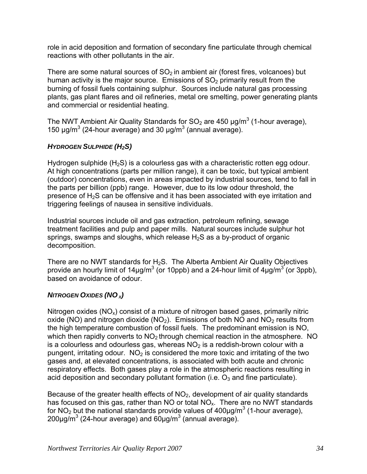<span id="page-33-0"></span>role in acid deposition and formation of secondary fine particulate through chemical reactions with other pollutants in the air.

There are some natural sources of  $SO<sub>2</sub>$  in ambient air (forest fires, volcanoes) but human activity is the major source. Emissions of  $SO<sub>2</sub>$  primarily result from the burning of fossil fuels containing sulphur. Sources include natural gas processing plants, gas plant flares and oil refineries, metal ore smelting, power generating plants and commercial or residential heating.

The NWT Ambient Air Quality Standards for SO<sub>2</sub> are 450  $\mu$ g/m<sup>3</sup> (1-hour average), 150  $\mu$ g/m<sup>3</sup> (24-hour average) and 30  $\mu$ g/m<sup>3</sup> (annual average).

## *HYDROGEN SULPHIDE (H2S)*

Hydrogen sulphide  $(H<sub>2</sub>S)$  is a colourless gas with a characteristic rotten egg odour. At high concentrations (parts per million range), it can be toxic, but typical ambient (outdoor) concentrations, even in areas impacted by industrial sources, tend to fall in the parts per billion (ppb) range. However, due to its low odour threshold, the presence of H2S can be offensive and it has been associated with eye irritation and triggering feelings of nausea in sensitive individuals.

Industrial sources include oil and gas extraction, petroleum refining, sewage treatment facilities and pulp and paper mills. Natural sources include sulphur hot springs, swamps and sloughs, which release  $H_2S$  as a by-product of organic decomposition.

There are no NWT standards for  $H_2S$ . The Alberta Ambient Air Quality Objectives provide an hourly limit of 14µg/m<sup>3</sup> (or 10ppb) and a 24-hour limit of 4µg/m<sup>3</sup> (or 3ppb), based on avoidance of odour.

#### *NITROGEN OXIDES (NO X)*

Nitrogen oxides  $(NO_x)$  consist of a mixture of nitrogen based gases, primarily nitric oxide (NO) and nitrogen dioxide (NO<sub>2</sub>). Emissions of both NO and NO<sub>2</sub> results from the high temperature combustion of fossil fuels. The predominant emission is NO, which then rapidly converts to  $NO<sub>2</sub>$  through chemical reaction in the atmosphere. NO is a colourless and odourless gas, whereas  $NO<sub>2</sub>$  is a reddish-brown colour with a pungent, irritating odour.  $NO<sub>2</sub>$  is considered the more toxic and irritating of the two gases and, at elevated concentrations, is associated with both acute and chronic respiratory effects. Both gases play a role in the atmospheric reactions resulting in acid deposition and secondary pollutant formation (i.e.  $O_3$  and fine particulate).

Because of the greater health effects of  $NO<sub>2</sub>$ , development of air quality standards has focused on this gas, rather than NO or total  $NO<sub>x</sub>$ . There are no NWT standards for NO<sub>2</sub> but the national standards provide values of 400 $\mu$ g/m<sup>3</sup> (1-hour average), 200μg/m<sup>3</sup> (24-hour average) and 60μg/m<sup>3</sup> (annual average).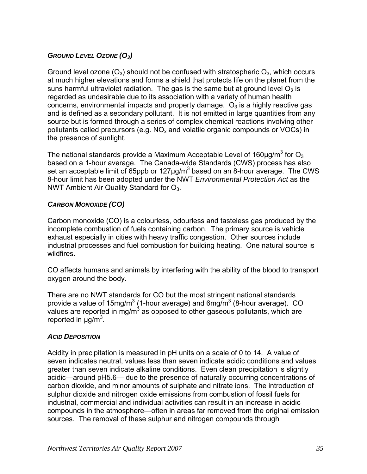## <span id="page-34-0"></span>*GROUND LEVEL OZONE (O3)*

Ground level ozone  $(O_3)$  should not be confused with stratospheric  $O_3$ , which occurs at much higher elevations and forms a shield that protects life on the planet from the suns harmful ultraviolet radiation. The gas is the same but at ground level  $O_3$  is regarded as undesirable due to its association with a variety of human health concerns, environmental impacts and property damage.  $O_3$  is a highly reactive gas and is defined as a secondary pollutant. It is not emitted in large quantities from any source but is formed through a series of complex chemical reactions involving other pollutants called precursors (e.g.  $NO<sub>x</sub>$  and volatile organic compounds or VOCs) in the presence of sunlight.

The national standards provide a Maximum Acceptable Level of 160 $\mu$ g/m<sup>3</sup> for O<sub>3</sub> based on a 1-hour average. The Canada-wide Standards (CWS) process has also set an acceptable limit of 65ppb or 127 $\mu$ g/m<sup>3</sup> based on an 8-hour average. The CWS 8-hour limit has been adopted under the NWT *Environmental Protection Act* as the NWT Ambient Air Quality Standard for  $O<sub>3</sub>$ .

## *CARBON MONOXIDE (CO)*

Carbon monoxide (CO) is a colourless, odourless and tasteless gas produced by the incomplete combustion of fuels containing carbon. The primary source is vehicle exhaust especially in cities with heavy traffic congestion. Other sources include industrial processes and fuel combustion for building heating. One natural source is wildfires.

CO affects humans and animals by interfering with the ability of the blood to transport oxygen around the body.

There are no NWT standards for CO but the most stringent national standards provide a value of 15mg/m<sup>3</sup> (1-hour average) and 6mg/m<sup>3</sup> (8-hour average). CO values are reported in mg/m<sup>3</sup> as opposed to other gaseous pollutants, which are reported in  $\mu$ g/m<sup>3</sup>.

#### *ACID DEPOSITION*

Acidity in precipitation is measured in pH units on a scale of 0 to 14. A value of seven indicates neutral, values less than seven indicate acidic conditions and values greater than seven indicate alkaline conditions. Even clean precipitation is slightly acidic—around pH5.6— due to the presence of naturally occurring concentrations of carbon dioxide, and minor amounts of sulphate and nitrate ions. The introduction of sulphur dioxide and nitrogen oxide emissions from combustion of fossil fuels for industrial, commercial and individual activities can result in an increase in acidic compounds in the atmosphere—often in areas far removed from the original emission sources. The removal of these sulphur and nitrogen compounds through